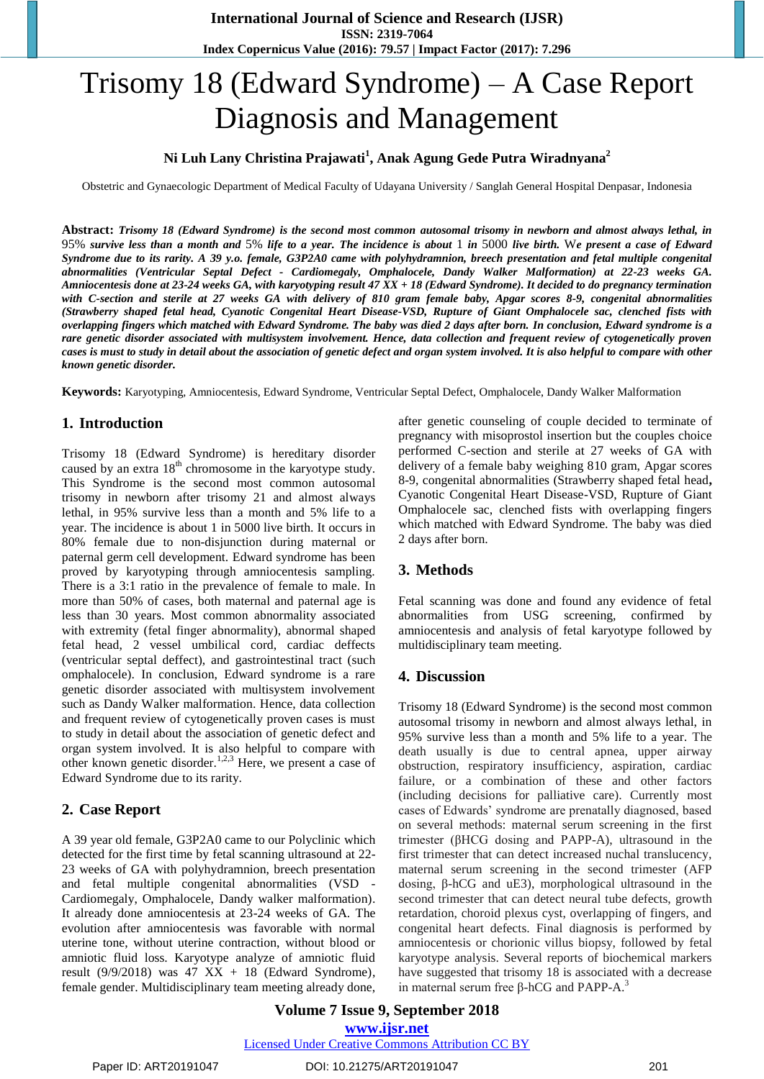# Trisomy 18 (Edward Syndrome) – A Case Report Diagnosis and Management

# **Ni Luh Lany Christina Prajawati<sup>1</sup> , Anak Agung Gede Putra Wiradnyana<sup>2</sup>**

Obstetric and Gynaecologic Department of Medical Faculty of Udayana University / Sanglah General Hospital Denpasar, Indonesia

**Abstract:** *Trisomy 18 (Edward Syndrome) is the second most common autosomal trisomy in newborn and almost always lethal, in*  95% *survive less than a month and* 5% *life to a year. The incidence is about* 1 *in* 5000 *live birth.* W*e present a case of Edward Syndrome due to its rarity. A 39 y.o. female, G3P2A0 came with polyhydramnion, breech presentation and fetal multiple congenital abnormalities (Ventricular Septal Defect - Cardiomegaly, Omphalocele, Dandy Walker Malformation) at 22-23 weeks GA. Amniocentesis done at 23-24 weeks GA, with karyotyping result 47 XX + 18 (Edward Syndrome). It decided to do pregnancy termination with C-section and sterile at 27 weeks GA with delivery of 810 gram female baby, Apgar scores 8-9, congenital abnormalities (Strawberry shaped fetal head, Cyanotic Congenital Heart Disease-VSD, Rupture of Giant Omphalocele sac, clenched fists with overlapping fingers which matched with Edward Syndrome. The baby was died 2 days after born. In conclusion, Edward syndrome is a rare genetic disorder associated with multisystem involvement. Hence, data collection and frequent review of cytogenetically proven cases is must to study in detail about the association of genetic defect and organ system involved. It is also helpful to compare with other known genetic disorder.*

**Keywords:** Karyotyping, Amniocentesis, Edward Syndrome, Ventricular Septal Defect, Omphalocele, Dandy Walker Malformation

#### **1. Introduction**

Trisomy 18 (Edward Syndrome) is hereditary disorder caused by an extra 18<sup>th</sup> chromosome in the karyotype study. This Syndrome is the second most common autosomal trisomy in newborn after trisomy 21 and almost always lethal, in 95% survive less than a month and 5% life to a year. The incidence is about 1 in 5000 live birth. It occurs in 80% female due to non-disjunction during maternal or paternal germ cell development. Edward syndrome has been proved by karyotyping through amniocentesis sampling. There is a 3:1 ratio in the prevalence of female to male. In more than 50% of cases, both maternal and paternal age is less than 30 years. Most common abnormality associated with extremity (fetal finger abnormality), abnormal shaped fetal head, 2 vessel umbilical cord, cardiac deffects (ventricular septal deffect), and gastrointestinal tract (such omphalocele). In conclusion, Edward syndrome is a rare genetic disorder associated with multisystem involvement such as Dandy Walker malformation. Hence, data collection and frequent review of cytogenetically proven cases is must to study in detail about the association of genetic defect and organ system involved. It is also helpful to compare with other known genetic disorder.<sup>1,2,3</sup> Here, we present a case of Edward Syndrome due to its rarity.

## **2. Case Report**

A 39 year old female, G3P2A0 came to our Polyclinic which detected for the first time by fetal scanning ultrasound at 22- 23 weeks of GA with polyhydramnion, breech presentation and fetal multiple congenital abnormalities (VSD - Cardiomegaly, Omphalocele, Dandy walker malformation). It already done amniocentesis at 23-24 weeks of GA. The evolution after amniocentesis was favorable with normal uterine tone, without uterine contraction, without blood or amniotic fluid loss. Karyotype analyze of amniotic fluid result (9/9/2018) was  $47$  XX + 18 (Edward Syndrome), female gender. Multidisciplinary team meeting already done, after genetic counseling of couple decided to terminate of pregnancy with misoprostol insertion but the couples choice performed C-section and sterile at 27 weeks of GA with delivery of a female baby weighing 810 gram, Apgar scores 8-9, congenital abnormalities (Strawberry shaped fetal head**,**  Cyanotic Congenital Heart Disease-VSD, Rupture of Giant Omphalocele sac, clenched fists with overlapping fingers which matched with Edward Syndrome. The baby was died 2 days after born.

# **3. Methods**

Fetal scanning was done and found any evidence of fetal abnormalities from USG screening, confirmed by amniocentesis and analysis of fetal karyotype followed by multidisciplinary team meeting.

## **4. Discussion**

Trisomy 18 (Edward Syndrome) is the second most common autosomal trisomy in newborn and almost always lethal, in 95% survive less than a month and 5% life to a year. The death usually is due to central apnea, upper airway obstruction, respiratory insufficiency, aspiration, cardiac failure, or a combination of these and other factors (including decisions for palliative care). Currently most cases of Edwards' syndrome are prenatally diagnosed, based on several methods: maternal serum screening in the first trimester (βHCG dosing and PAPP-A), ultrasound in the first trimester that can detect increased nuchal translucency, maternal serum screening in the second trimester (AFP dosing, β-hCG and uE3), morphological ultrasound in the second trimester that can detect neural tube defects, growth retardation, choroid plexus cyst, overlapping of fingers, and congenital heart defects. Final diagnosis is performed by amniocentesis or chorionic villus biopsy, followed by fetal karyotype analysis. Several reports of biochemical markers have suggested that trisomy 18 is associated with a decrease in maternal serum free β-hCG and PAPP- $A^3$ 

**Volume 7 Issue 9, September 2018 www.ijsr.net** Licensed Under Creative Commons Attribution CC BY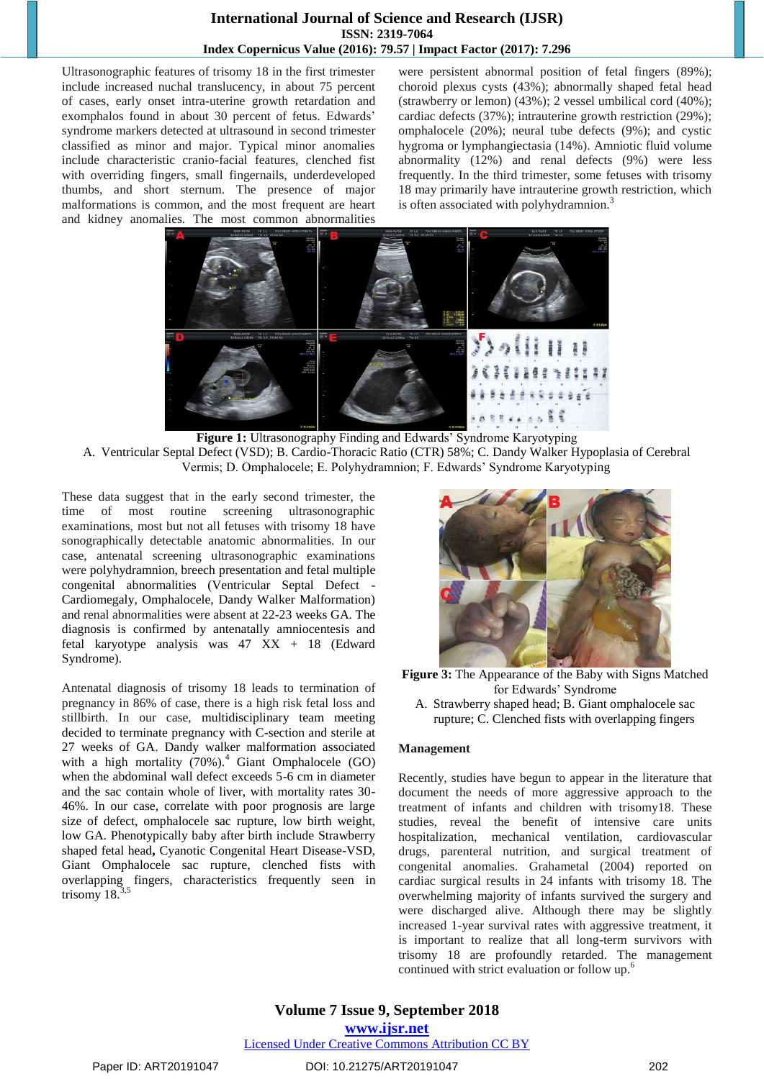## **International Journal of Science and Research (IJSR) ISSN: 2319-7064 Index Copernicus Value (2016): 79.57 | Impact Factor (2017): 7.296**

Ultrasonographic features of trisomy 18 in the first trimester include increased nuchal translucency, in about 75 percent of cases, early onset intra-uterine growth retardation and exomphalos found in about 30 percent of fetus. Edwards' syndrome markers detected at ultrasound in second trimester classified as minor and major. Typical minor anomalies include characteristic cranio-facial features, clenched fist with overriding fingers, small fingernails, underdeveloped thumbs, and short sternum. The presence of major malformations is common, and the most frequent are heart and kidney anomalies. The most common abnormalities

were persistent abnormal position of fetal fingers (89%); choroid plexus cysts (43%); abnormally shaped fetal head (strawberry or lemon) (43%); 2 vessel umbilical cord (40%); cardiac defects (37%); intrauterine growth restriction (29%); omphalocele (20%); neural tube defects (9%); and cystic hygroma or lymphangiectasia (14%). Amniotic fluid volume abnormality (12%) and renal defects (9%) were less frequently. In the third trimester, some fetuses with trisomy 18 may primarily have intrauterine growth restriction, which is often associated with polyhydramnion.<sup>3</sup>



**Figure 1:** Ultrasonography Finding and Edwards' Syndrome Karyotyping

A. Ventricular Septal Defect (VSD); B. Cardio-Thoracic Ratio (CTR) 58%; C. Dandy Walker Hypoplasia of Cerebral Vermis; D. Omphalocele; E. Polyhydramnion; F. Edwards' Syndrome Karyotyping

These data suggest that in the early second trimester, the time of most routine screening ultrasonographic examinations, most but not all fetuses with trisomy 18 have sonographically detectable anatomic abnormalities. In our case, antenatal screening ultrasonographic examinations were polyhydramnion, breech presentation and fetal multiple congenital abnormalities (Ventricular Septal Defect - Cardiomegaly, Omphalocele, Dandy Walker Malformation) and renal abnormalities were absent at 22-23 weeks GA. The diagnosis is confirmed by antenatally amniocentesis and fetal karyotype analysis was 47 XX + 18 (Edward Syndrome).

Antenatal diagnosis of trisomy 18 leads to termination of pregnancy in 86% of case, there is a high risk fetal loss and stillbirth. In our case, multidisciplinary team meeting decided to terminate pregnancy with C-section and sterile at 27 weeks of GA. Dandy walker malformation associated with a high mortality  $(70\%)$ .<sup>4</sup> Giant Omphalocele (GO) when the abdominal wall defect exceeds 5-6 cm in diameter and the sac contain whole of liver, with mortality rates 30- 46%. In our case, correlate with poor prognosis are large size of defect, omphalocele sac rupture, low birth weight, low GA. Phenotypically baby after birth include Strawberry shaped fetal head**,** Cyanotic Congenital Heart Disease-VSD, Giant Omphalocele sac rupture, clenched fists with overlapping fingers, characteristics frequently seen in trisomy  $18<sup>3</sup>$ 



**Figure 3:** The Appearance of the Baby with Signs Matched for Edwards' Syndrome A. Strawberry shaped head; B. Giant omphalocele sac rupture; C. Clenched fists with overlapping fingers

#### **Management**

Recently, studies have begun to appear in the literature that document the needs of more aggressive approach to the treatment of infants and children with trisomy18. These studies, reveal the benefit of intensive care units hospitalization, mechanical ventilation, cardiovascular drugs, parenteral nutrition, and surgical treatment of congenital anomalies. Grahametal (2004) reported on cardiac surgical results in 24 infants with trisomy 18. The overwhelming majority of infants survived the surgery and were discharged alive. Although there may be slightly increased 1-year survival rates with aggressive treatment, it is important to realize that all long-term survivors with trisomy 18 are profoundly retarded. The management continued with strict evaluation or follow up.<sup>6</sup>

**Volume 7 Issue 9, September 2018 www.ijsr.net** Licensed Under Creative Commons Attribution CC BY